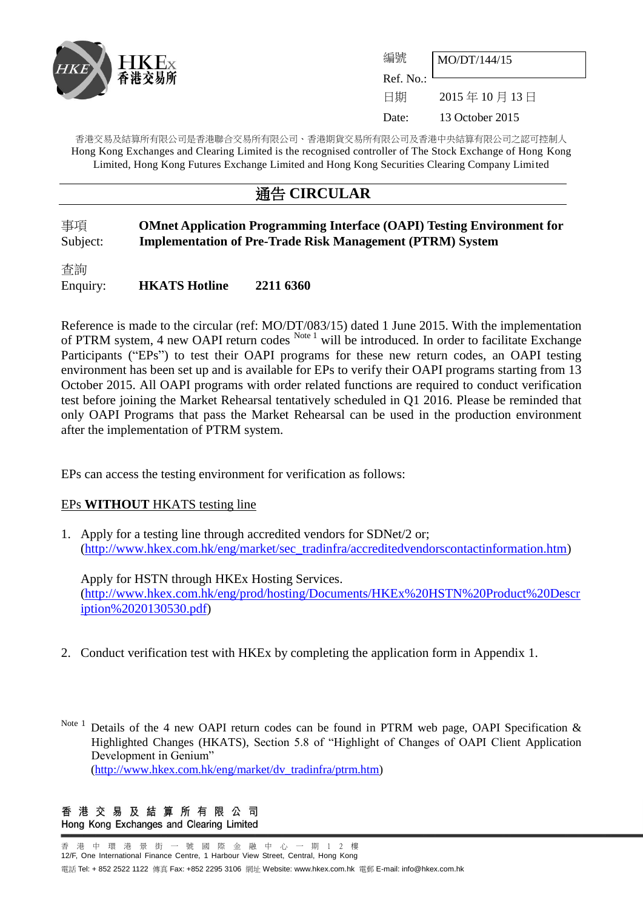

| 編號                     | MO/DT/144/15    |
|------------------------|-----------------|
| Ref. No.: <sup>l</sup> |                 |
| 日期                     | 2015年10月13日     |
| Date:                  | 13 October 2015 |

香港交易及結算所有限公司是香港聯合交易所有限公司、香港期貨交易所有限公司及香港中央結算有限公司之認可控制人 Hong Kong Exchanges and Clearing Limited is the recognised controller of The Stock Exchange of Hong Kong Limited, Hong Kong Futures Exchange Limited and Hong Kong Securities Clearing Company Limited

## 通告 **CIRCULAR**

### 事項 **OMnet Application Programming Interface (OAPI) Testing Environment for** Subject: **Implementation of Pre-Trade Risk Management (PTRM) System**

查詢 Enquiry: **HKATS Hotline 2211 6360**

Reference is made to the circular (ref: MO/DT/083/15) dated 1 June 2015. With the implementation of PTRM system, 4 new OAPI return codes Note 1 will be introduced. In order to facilitate Exchange Participants ("EPs") to test their OAPI programs for these new return codes, an OAPI testing environment has been set up and is available for EPs to verify their OAPI programs starting from 13 October 2015. All OAPI programs with order related functions are required to conduct verification test before joining the Market Rehearsal tentatively scheduled in Q1 2016. Please be reminded that only OAPI Programs that pass the Market Rehearsal can be used in the production environment after the implementation of PTRM system.

EPs can access the testing environment for verification as follows:

#### EPs **WITHOUT** HKATS testing line

1. Apply for a testing line [through](mailto:through) accredited vendors for SDNet/2 or; [\(http://www.hkex.com.hk/eng/market/sec\\_tradinfra/accreditedvendorscontactinformation.htm\)](http://www.hkex.com.hk/eng/market/sec_tradinfra/accreditedvendorscontactinformation.htm)

Apply for HSTN [through](mailto:through) HKEx Hosting Services. [\(http://www.hkex.com.hk/eng/prod/hosting/Documents/HKEx%20HSTN%20Product%20Descr](http://www.hkex.com.hk/eng/prod/hosting/Documents/HKEx%20HSTN%20Product%20Description%2020130530.pdf) [iption%2020130530.pdf\)](http://www.hkex.com.hk/eng/prod/hosting/Documents/HKEx%20HSTN%20Product%20Description%2020130530.pdf)

2. Conduct verification test with HKEx by completing the application form in Appendix 1.

Note 1 Details of the 4 new OAPI return codes can be found in PTRM web page, OAPI Specification  $\&$ Highlighted Changes (HKATS), Section 5.8 of "Highlight of Changes of OAPI Client Application Development in Genium" [\(http://www.hkex.com.hk/eng/market/dv\\_tradinfra/ptrm.htm\)](http://www.hkex.com.hk/eng/market/dv_tradinfra/ptrm.htm)

香港交易及結算所有限公司 Hong Kong Exchanges and Clearing Limited